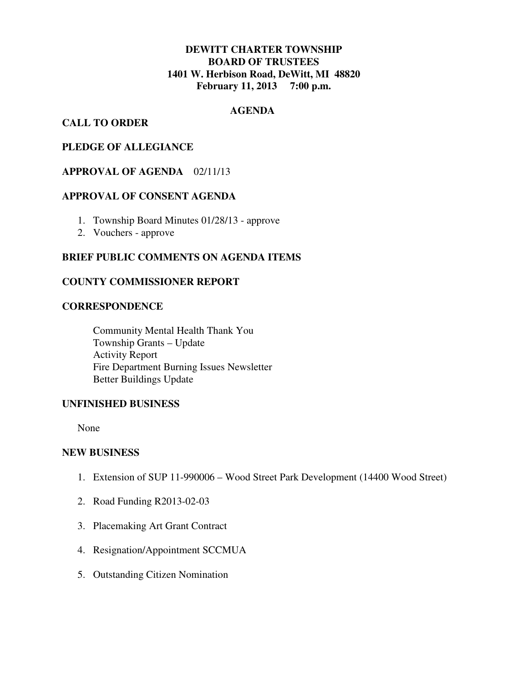# **DEWITT CHARTER TOWNSHIP BOARD OF TRUSTEES 1401 W. Herbison Road, DeWitt, MI 48820 February 11, 2013 7:00 p.m.**

# **AGENDA**

# **CALL TO ORDER**

## **PLEDGE OF ALLEGIANCE**

# **APPROVAL OF AGENDA** 02/11/13

### **APPROVAL OF CONSENT AGENDA**

- 1. Township Board Minutes 01/28/13 approve
- 2. Vouchers approve

# **BRIEF PUBLIC COMMENTS ON AGENDA ITEMS**

#### **COUNTY COMMISSIONER REPORT**

#### **CORRESPONDENCE**

 Community Mental Health Thank You Township Grants – Update Activity Report Fire Department Burning Issues Newsletter Better Buildings Update

#### **UNFINISHED BUSINESS**

None

#### **NEW BUSINESS**

- 1. Extension of SUP 11-990006 Wood Street Park Development (14400 Wood Street)
- 2. Road Funding R2013-02-03
- 3. Placemaking Art Grant Contract
- 4. Resignation/Appointment SCCMUA
- 5. Outstanding Citizen Nomination